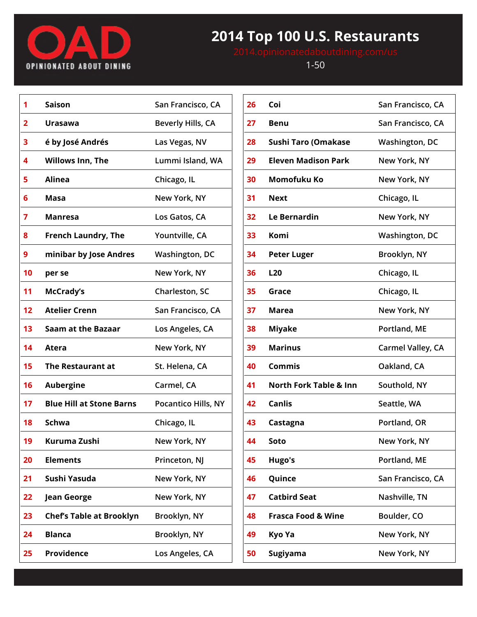

## **2014 Top 100 U.S. Restaurants**

1-50

| 1  | <b>Saison</b>                   | San Francisco, CA          |
|----|---------------------------------|----------------------------|
| 2  | Urasawa                         | Beverly Hills, CA          |
| 3  | é by José Andrés                | Las Vegas, NV              |
| 4  | <b>Willows Inn, The</b>         | Lummi Island, WA           |
| 5  | <b>Alinea</b>                   | Chicago, IL                |
| 6  | Masa                            | New York, NY               |
| 7  | Manresa                         | Los Gatos, CA              |
| 8  | <b>French Laundry, The</b>      | Yountville, CA             |
| 9  | minibar by Jose Andres          | <b>Washington, DC</b>      |
| 10 | per se                          | New York, NY               |
| 11 | McCrady's                       | Charleston, SC             |
| 12 | <b>Atelier Crenn</b>            | San Francisco, CA          |
| 13 | Saam at the Bazaar              | Los Angeles, CA            |
| 14 | Atera                           | New York, NY               |
| 15 | <b>The Restaurant at</b>        | St. Helena, CA             |
| 16 | <b>Aubergine</b>                | Carmel, CA                 |
| 17 | <b>Blue Hill at Stone Barns</b> | <b>Pocantico Hills, NY</b> |
| 18 | Schwa                           | Chicago, IL                |
| 19 | Kuruma Zushi                    | New York, NY               |
| 20 | <b>Elements</b>                 | Princeton, NJ              |
| 21 | Sushi Yasuda                    | New York, NY               |
| 22 | <b>Jean George</b>              | New York, NY               |
| 23 | <b>Chef's Table at Brooklyn</b> | Brooklyn, NY               |
| 24 | <b>Blanca</b>                   | Brooklyn, NY               |
| 25 | <b>Providence</b>               | Los Angeles, CA            |

| 26 | Coi                               | San Francisco, CA |
|----|-----------------------------------|-------------------|
| 27 | <b>Benu</b>                       | San Francisco, CA |
| 28 | Sushi Taro (Omakase               | Washington, DC    |
| 29 | <b>Eleven Madison Park</b>        | New York, NY      |
| 30 | Momofuku Ko                       | New York, NY      |
| 31 | Next                              | Chicago, IL       |
| 32 | Le Bernardin                      | New York, NY      |
| 33 | Komi                              | Washington, DC    |
| 34 | <b>Peter Luger</b>                | Brooklyn, NY      |
| 36 | L <sub>20</sub>                   | Chicago, IL       |
| 35 | Grace                             | Chicago, IL       |
| 37 | Marea                             | New York, NY      |
| 38 | <b>Miyake</b>                     | Portland, ME      |
| 39 | <b>Marinus</b>                    | Carmel Valley, CA |
| 40 | <b>Commis</b>                     | Oakland, CA       |
| 41 | <b>North Fork Table &amp; Inn</b> | Southold, NY      |
| 42 | <b>Canlis</b>                     | Seattle, WA       |
| 43 | Castagna                          | Portland, OR      |
| 44 | Soto                              | New York, NY      |
| 45 | Hugo's                            | Portland, ME      |
| 46 | Quince                            | San Francisco, CA |
| 47 | <b>Catbird Seat</b>               | Nashville, TN     |
| 48 | <b>Frasca Food &amp; Wine</b>     | Boulder, CO       |
| 49 | Kyo Ya                            | New York, NY      |
| 50 | Sugiyama                          | New York, NY      |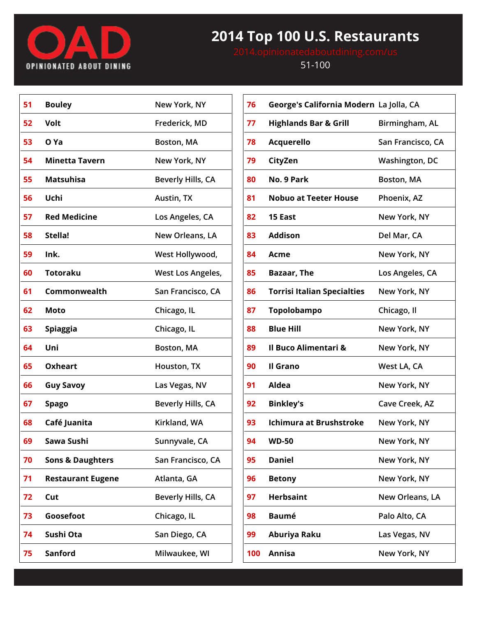

## **2014 Top 100 U.S. Restaurants**

| 51 | <b>Bouley</b>               | New York, NY      |
|----|-----------------------------|-------------------|
| 52 | <b>Volt</b>                 | Frederick, MD     |
| 53 | O Ya                        | Boston, MA        |
| 54 | <b>Minetta Tavern</b>       | New York, NY      |
| 55 | <b>Matsuhisa</b>            | Beverly Hills, CA |
| 56 | Uchi                        | Austin, TX        |
| 57 | <b>Red Medicine</b>         | Los Angeles, CA   |
| 58 | Stella!                     | New Orleans, LA   |
| 59 | Ink.                        | West Hollywood,   |
| 60 | <b>Totoraku</b>             | West Los Angeles, |
| 61 | Commonwealth                | San Francisco, CA |
| 62 | <b>Moto</b>                 | Chicago, IL       |
| 63 | <b>Spiaggia</b>             | Chicago, IL       |
| 64 | Uni                         | Boston, MA        |
| 65 | <b>Oxheart</b>              | Houston, TX       |
| 66 | <b>Guy Savoy</b>            | Las Vegas, NV     |
| 67 | <b>Spago</b>                | Beverly Hills, CA |
| 68 | Café Juanita                | Kirkland, WA      |
| 69 | Sawa Sushi                  | Sunnyvale, CA     |
| 70 | <b>Sons &amp; Daughters</b> | San Francisco, CA |
| 71 | <b>Restaurant Eugene</b>    | Atlanta, GA       |
| 72 | Cut                         | Beverly Hills, CA |
| 73 | Goosefoot                   | Chicago, IL       |
| 74 | Sushi Ota                   | San Diego, CA     |
| 75 | <b>Sanford</b>              | Milwaukee, WI     |

51-100

| 76  | George's California Modern La Jolla, CA |                       |
|-----|-----------------------------------------|-----------------------|
| 77  | <b>Highlands Bar &amp; Grill</b>        | Birmingham, AL        |
| 78  | <b>Acquerello</b>                       | San Francisco, CA     |
| 79  | CityZen                                 | <b>Washington, DC</b> |
| 80  | No. 9 Park                              | Boston, MA            |
| 81  | Nobuo at Teeter House                   | Phoenix, AZ           |
| 82  | 15 East                                 | New York, NY          |
| 83  | <b>Addison</b>                          | Del Mar, CA           |
| 84  | Acme                                    | New York, NY          |
| 85  | <b>Bazaar, The</b>                      | Los Angeles, CA       |
| 86  | <b>Torrisi Italian Specialties</b>      | New York, NY          |
| 87  | <b>Topolobampo</b>                      | Chicago, Il           |
| 88  | <b>Blue Hill</b>                        | New York, NY          |
| 89  | Il Buco Alimentari &                    | New York, NY          |
| 90  | Il Grano                                | West LA, CA           |
| 91  | Aldea                                   | New York, NY          |
| 92  | <b>Binkley's</b>                        | Cave Creek, AZ        |
| 93  | Ichimura at Brushstroke                 | New York, NY          |
| 94  | <b>WD-50</b>                            | New York, NY          |
| 95  | <b>Daniel</b>                           | New York, NY          |
| 96  | <b>Betony</b>                           | New York, NY          |
| 97  | <b>Herbsaint</b>                        | New Orleans, LA       |
| 98  | <b>Baumé</b>                            | Palo Alto, CA         |
| 99  | Aburiya Raku                            | Las Vegas, NV         |
| 100 | <b>Annisa</b>                           | New York, NY          |